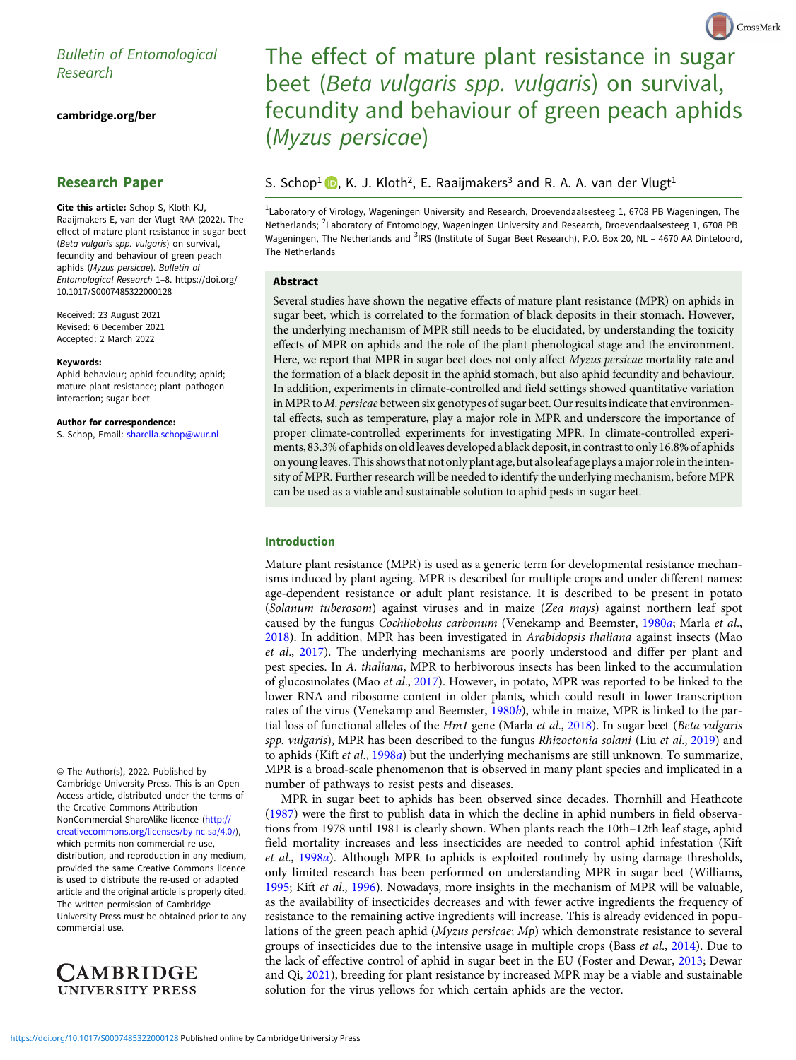# Bulletin of Entomological

[cambridge.org/ber](https://www.cambridge.org/ber)

# Research Paper

Cite this article: Schop S, Kloth KJ, Raaijmakers E, van der Vlugt RAA (2022). The effect of mature plant resistance in sugar beet (Beta vulgaris spp. vulgaris) on survival, fecundity and behaviour of green peach aphids (Myzus persicae). Bulletin of Entomological Research <sup>1</sup>–8. [https://doi.org/](https://doi.org/10.1017/S0007485322000128) [10.1017/S0007485322000128](https://doi.org/10.1017/S0007485322000128)

Received: 23 August 2021 Revised: 6 December 2021 Accepted: 2 March 2022

#### Keywords:

Aphid behaviour; aphid fecundity; aphid; mature plant resistance; plant–pathogen interaction; sugar beet

Author for correspondence:

S. Schop, Email: [sharella.schop@wur.nl](mailto:sharella.schop@wur.nl)

© The Author(s), 2022. Published by Cambridge University Press. This is an Open Access article, distributed under the terms of the Creative Commons Attribution-NonCommercial-ShareAlike licence [\(http://](http://creativecommons.org/licenses/by-nc-sa/4.0/) [creativecommons.org/licenses/by-nc-sa/4.0/](http://creativecommons.org/licenses/by-nc-sa/4.0/)), which permits non-commercial re-use, distribution, and reproduction in any medium, provided the same Creative Commons licence is used to distribute the re-used or adapted article and the original article is properly cited. The written permission of Cambridge University Press must be obtained prior to any commercial use.



# The effect of mature plant resistance in sugar beet (Beta vulgaris spp. vulgaris) on survival, fecundity and behaviour of green peach aphids (Myzus persicae)

CrossMark

# S. Schop<sup>1</sup>  $\bullet$ [,](https://orcid.org/0000-0003-4192-3736) K. J. Kloth<sup>2</sup>, E. Raaijmakers<sup>3</sup> and R. A. A. van der Vlugt<sup>1</sup>

<sup>1</sup>Laboratory of Virology, Wageningen University and Research, Droevendaalsesteeg 1, 6708 PB Wageningen, The Netherlands; <sup>2</sup>Laboratory of Entomology, Wageningen University and Research, Droevendaalsesteeg 1, 6708 PB Wageningen, The Netherlands and <sup>3</sup>IRS (Institute of Sugar Beet Research), P.O. Box 20, NL - 4670 AA Dinteloord, The Netherlands

#### Abstract

Several studies have shown the negative effects of mature plant resistance (MPR) on aphids in sugar beet, which is correlated to the formation of black deposits in their stomach. However, the underlying mechanism of MPR still needs to be elucidated, by understanding the toxicity effects of MPR on aphids and the role of the plant phenological stage and the environment. Here, we report that MPR in sugar beet does not only affect Myzus persicae mortality rate and the formation of a black deposit in the aphid stomach, but also aphid fecundity and behaviour. In addition, experiments in climate-controlled and field settings showed quantitative variation in MPR to M. persicae between six genotypes of sugar beet. Our results indicate that environmental effects, such as temperature, play a major role in MPR and underscore the importance of proper climate-controlled experiments for investigating MPR. In climate-controlled experiments, 83.3% of aphids on old leaves developed a black deposit,in contrast to only 16.8% of aphids on young leaves. This shows that not only plant age, but also leaf age plays amajor rolein the intensity of MPR. Further research will be needed to identify the underlying mechanism, before MPR can be used as a viable and sustainable solution to aphid pests in sugar beet.

### Introduction

Mature plant resistance (MPR) is used as a generic term for developmental resistance mechanisms induced by plant ageing. MPR is described for multiple crops and under different names: age-dependent resistance or adult plant resistance. It is described to be present in potato (Solanum tuberosom) against viruses and in maize (Zea mays) against northern leaf spot caused by the fungus Cochliobolus carbonum (Venekamp and Beemster, [1980](#page-7-0)a; Marla et al., [2018\)](#page-7-0). In addition, MPR has been investigated in Arabidopsis thaliana against insects (Mao et al., [2017](#page-7-0)). The underlying mechanisms are poorly understood and differ per plant and pest species. In A. thaliana, MPR to herbivorous insects has been linked to the accumulation of glucosinolates (Mao et al., [2017](#page-7-0)). However, in potato, MPR was reported to be linked to the lower RNA and ribosome content in older plants, which could result in lower transcription rates of the virus (Venekamp and Beemster, [1980](#page-7-0)b), while in maize, MPR is linked to the partial loss of functional alleles of the  $Hm1$  gene (Marla et al., [2018\)](#page-7-0). In sugar beet (Beta vulgaris spp. vulgaris), MPR has been described to the fungus Rhizoctonia solani (Liu et al., [2019](#page-7-0)) and to aphids (Kift et al., [1998](#page-7-0)a) but the underlying mechanisms are still unknown. To summarize, MPR is a broad-scale phenomenon that is observed in many plant species and implicated in a number of pathways to resist pests and diseases.

MPR in sugar beet to aphids has been observed since decades. Thornhill and Heathcote ([1987\)](#page-7-0) were the first to publish data in which the decline in aphid numbers in field observations from 1978 until 1981 is clearly shown. When plants reach the 10th–12th leaf stage, aphid field mortality increases and less insecticides are needed to control aphid infestation (Kift et al., [1998](#page-7-0)a). Although MPR to aphids is exploited routinely by using damage thresholds, only limited research has been performed on understanding MPR in sugar beet (Williams, [1995;](#page-7-0) Kift et al., [1996](#page-7-0)). Nowadays, more insights in the mechanism of MPR will be valuable, as the availability of insecticides decreases and with fewer active ingredients the frequency of resistance to the remaining active ingredients will increase. This is already evidenced in populations of the green peach aphid (Myzus persicae; Mp) which demonstrate resistance to several groups of insecticides due to the intensive usage in multiple crops (Bass et al., [2014\)](#page-7-0). Due to the lack of effective control of aphid in sugar beet in the EU (Foster and Dewar, [2013](#page-7-0); Dewar and Qi, [2021](#page-7-0)), breeding for plant resistance by increased MPR may be a viable and sustainable solution for the virus yellows for which certain aphids are the vector.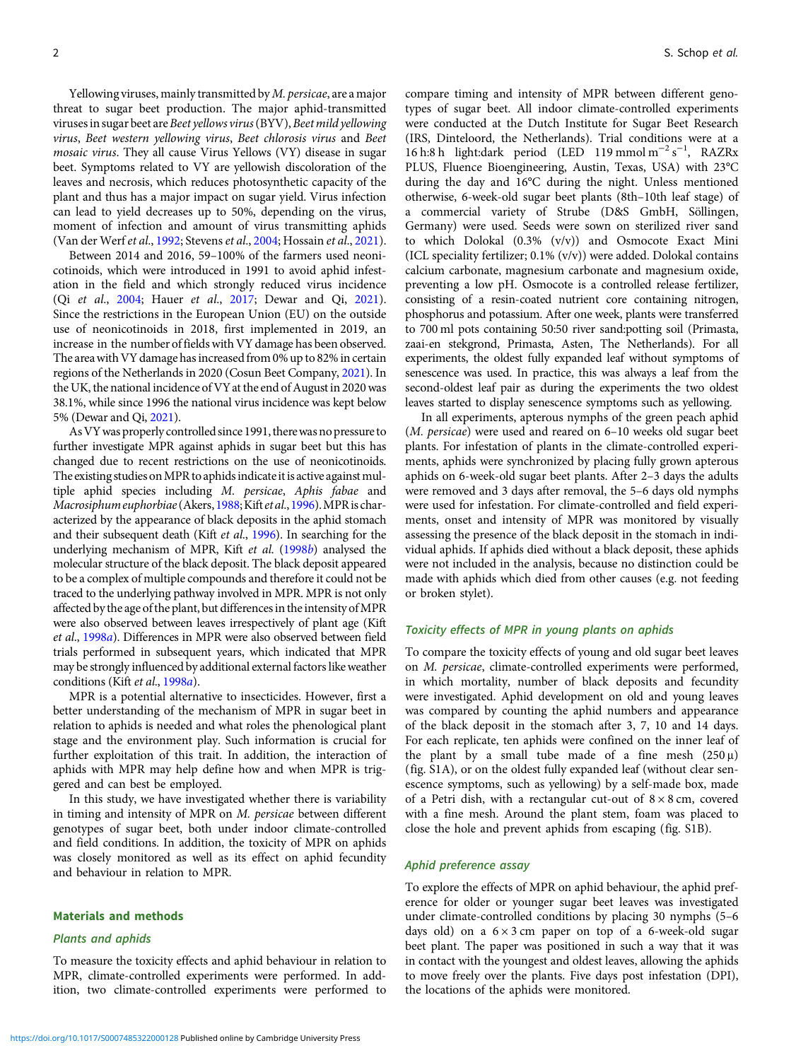Yellowing viruses, mainly transmitted by *M. persicae*, are a major threat to sugar beet production. The major aphid-transmitted viruses in sugar beet are Beet yellows virus (BYV), Beet mild yellowing virus, Beet western yellowing virus, Beet chlorosis virus and Beet mosaic virus. They all cause Virus Yellows (VY) disease in sugar beet. Symptoms related to VY are yellowish discoloration of the leaves and necrosis, which reduces photosynthetic capacity of the plant and thus has a major impact on sugar yield. Virus infection can lead to yield decreases up to 50%, depending on the virus, moment of infection and amount of virus transmitting aphids (Van der Werf et al., [1992;](#page-7-0) Stevens et al., [2004](#page-7-0); Hossain et al., [2021\)](#page-7-0).

Between 2014 and 2016, 59–100% of the farmers used neonicotinoids, which were introduced in 1991 to avoid aphid infestation in the field and which strongly reduced virus incidence (Qi et al., [2004;](#page-7-0) Hauer et al., [2017](#page-7-0); Dewar and Qi, [2021\)](#page-7-0). Since the restrictions in the European Union (EU) on the outside use of neonicotinoids in 2018, first implemented in 2019, an increase in the number of fields with VY damage has been observed. The area with VY damage has increased from 0% up to 82% in certain regions of the Netherlands in 2020 (Cosun Beet Company, [2021\)](#page-7-0). In the UK, the national incidence of VY at the end of August in 2020 was 38.1%, while since 1996 the national virus incidence was kept below 5% (Dewar and Qi, [2021](#page-7-0)).

AsVYwas properly controlled since 1991, therewas no pressure to further investigate MPR against aphids in sugar beet but this has changed due to recent restrictions on the use of neonicotinoids. The existing studies on MPR to aphids indicate it is active against multiple aphid species including M. persicae, Aphis fabae and Macrosiphum euphorbiae (Akers, [1988](#page-7-0); Kift et al., [1996\)](#page-7-0). MPR is characterized by the appearance of black deposits in the aphid stomach and their subsequent death (Kift et al., [1996](#page-7-0)). In searching for the underlying mechanism of MPR, Kift et al. [\(1998](#page-7-0)b) analysed the molecular structure of the black deposit. The black deposit appeared to be a complex of multiple compounds and therefore it could not be traced to the underlying pathway involved in MPR. MPR is not only affected by the age of the plant, but differences in the intensity of MPR were also observed between leaves irrespectively of plant age (Kift et al., [1998](#page-7-0)a). Differences in MPR were also observed between field trials performed in subsequent years, which indicated that MPR may be strongly influenced by additional external factors like weather conditions (Kift et al., [1998](#page-7-0)a).

MPR is a potential alternative to insecticides. However, first a better understanding of the mechanism of MPR in sugar beet in relation to aphids is needed and what roles the phenological plant stage and the environment play. Such information is crucial for further exploitation of this trait. In addition, the interaction of aphids with MPR may help define how and when MPR is triggered and can best be employed.

In this study, we have investigated whether there is variability in timing and intensity of MPR on M. persicae between different genotypes of sugar beet, both under indoor climate-controlled and field conditions. In addition, the toxicity of MPR on aphids was closely monitored as well as its effect on aphid fecundity and behaviour in relation to MPR.

#### Materials and methods

#### Plants and aphids

To measure the toxicity effects and aphid behaviour in relation to MPR, climate-controlled experiments were performed. In addition, two climate-controlled experiments were performed to compare timing and intensity of MPR between different genotypes of sugar beet. All indoor climate-controlled experiments were conducted at the Dutch Institute for Sugar Beet Research (IRS, Dinteloord, the Netherlands). Trial conditions were at a 16 h:8 h light:dark period (LED 119 mmol m<sup>-2</sup> s<sup>-1</sup>, RAZRx PLUS, Fluence Bioengineering, Austin, Texas, USA) with 23°C during the day and 16°C during the night. Unless mentioned otherwise, 6-week-old sugar beet plants (8th–10th leaf stage) of a commercial variety of Strube (D&S GmbH, Söllingen, Germany) were used. Seeds were sown on sterilized river sand to which Dolokal (0.3% (v/v)) and Osmocote Exact Mini (ICL speciality fertilizer; 0.1% (v/v)) were added. Dolokal contains calcium carbonate, magnesium carbonate and magnesium oxide, preventing a low pH. Osmocote is a controlled release fertilizer, consisting of a resin-coated nutrient core containing nitrogen, phosphorus and potassium. After one week, plants were transferred to 700 ml pots containing 50:50 river sand:potting soil (Primasta, zaai-en stekgrond, Primasta, Asten, The Netherlands). For all experiments, the oldest fully expanded leaf without symptoms of senescence was used. In practice, this was always a leaf from the second-oldest leaf pair as during the experiments the two oldest leaves started to display senescence symptoms such as yellowing.

In all experiments, apterous nymphs of the green peach aphid (M. persicae) were used and reared on 6–10 weeks old sugar beet plants. For infestation of plants in the climate-controlled experiments, aphids were synchronized by placing fully grown apterous aphids on 6-week-old sugar beet plants. After 2–3 days the adults were removed and 3 days after removal, the 5–6 days old nymphs were used for infestation. For climate-controlled and field experiments, onset and intensity of MPR was monitored by visually assessing the presence of the black deposit in the stomach in individual aphids. If aphids died without a black deposit, these aphids were not included in the analysis, because no distinction could be made with aphids which died from other causes (e.g. not feeding or broken stylet).

# Toxicity effects of MPR in young plants on aphids

To compare the toxicity effects of young and old sugar beet leaves on M. persicae, climate-controlled experiments were performed, in which mortality, number of black deposits and fecundity were investigated. Aphid development on old and young leaves was compared by counting the aphid numbers and appearance of the black deposit in the stomach after 3, 7, 10 and 14 days. For each replicate, ten aphids were confined on the inner leaf of the plant by a small tube made of a fine mesh  $(250 \,\mu)$ (fig. S1A), or on the oldest fully expanded leaf (without clear senescence symptoms, such as yellowing) by a self-made box, made of a Petri dish, with a rectangular cut-out of  $8 \times 8$  cm, covered with a fine mesh. Around the plant stem, foam was placed to close the hole and prevent aphids from escaping (fig. S1B).

#### Aphid preference assay

To explore the effects of MPR on aphid behaviour, the aphid preference for older or younger sugar beet leaves was investigated under climate-controlled conditions by placing 30 nymphs (5–6 days old) on a  $6 \times 3$  cm paper on top of a 6-week-old sugar beet plant. The paper was positioned in such a way that it was in contact with the youngest and oldest leaves, allowing the aphids to move freely over the plants. Five days post infestation (DPI), the locations of the aphids were monitored.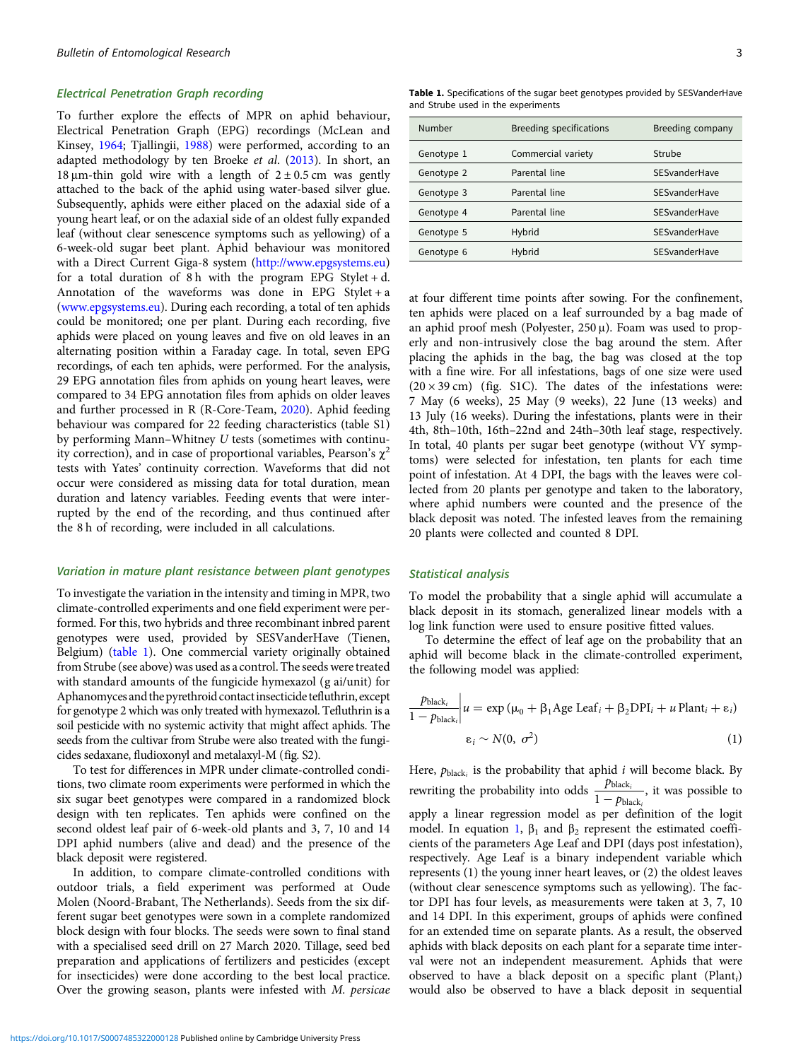#### <span id="page-2-0"></span>Electrical Penetration Graph recording

To further explore the effects of MPR on aphid behaviour, Electrical Penetration Graph (EPG) recordings (McLean and Kinsey, [1964](#page-7-0); Tjallingii, [1988](#page-7-0)) were performed, according to an adapted methodology by ten Broeke et al. ([2013](#page-7-0)). In short, an 18  $\mu$ m-thin gold wire with a length of 2 ± 0.5 cm was gently attached to the back of the aphid using water-based silver glue. Subsequently, aphids were either placed on the adaxial side of a young heart leaf, or on the adaxial side of an oldest fully expanded leaf (without clear senescence symptoms such as yellowing) of a 6-week-old sugar beet plant. Aphid behaviour was monitored with a Direct Current Giga-8 system [\(http://www.epgsystems.eu\)](http://www.epgsystems.eu) for a total duration of 8 h with the program EPG Stylet + d. Annotation of the waveforms was done in EPG Stylet + a ([www.epgsystems.eu](https://www.epgsystems.eu)). During each recording, a total of ten aphids could be monitored; one per plant. During each recording, five aphids were placed on young leaves and five on old leaves in an alternating position within a Faraday cage. In total, seven EPG recordings, of each ten aphids, were performed. For the analysis, 29 EPG annotation files from aphids on young heart leaves, were compared to 34 EPG annotation files from aphids on older leaves and further processed in R (R-Core-Team, [2020\)](#page-7-0). Aphid feeding behaviour was compared for 22 feeding characteristics (table S1) by performing Mann–Whitney U tests (sometimes with continuity correction), and in case of proportional variables, Pearson's  $\chi^2$ tests with Yates' continuity correction. Waveforms that did not occur were considered as missing data for total duration, mean duration and latency variables. Feeding events that were interrupted by the end of the recording, and thus continued after the 8 h of recording, were included in all calculations.

#### Variation in mature plant resistance between plant genotypes

To investigate the variation in the intensity and timing in MPR, two climate-controlled experiments and one field experiment were performed. For this, two hybrids and three recombinant inbred parent genotypes were used, provided by SESVanderHave (Tienen, Belgium) (table 1). One commercial variety originally obtained from Strube (see above) was used as a control. The seeds were treated with standard amounts of the fungicide hymexazol (g ai/unit) for Aphanomyces and the pyrethroid contactinsecticide tefluthrin, except for genotype 2 which was only treated with hymexazol. Tefluthrin is a soil pesticide with no systemic activity that might affect aphids. The seeds from the cultivar from Strube were also treated with the fungicides sedaxane, fludioxonyl and metalaxyl-M (fig. S2).

To test for differences in MPR under climate-controlled conditions, two climate room experiments were performed in which the six sugar beet genotypes were compared in a randomized block design with ten replicates. Ten aphids were confined on the second oldest leaf pair of 6-week-old plants and 3, 7, 10 and 14 DPI aphid numbers (alive and dead) and the presence of the black deposit were registered.

In addition, to compare climate-controlled conditions with outdoor trials, a field experiment was performed at Oude Molen (Noord-Brabant, The Netherlands). Seeds from the six different sugar beet genotypes were sown in a complete randomized block design with four blocks. The seeds were sown to final stand with a specialised seed drill on 27 March 2020. Tillage, seed bed preparation and applications of fertilizers and pesticides (except for insecticides) were done according to the best local practice. Over the growing season, plants were infested with M. persicae

Table 1. Specifications of the sugar beet genotypes provided by SESVanderHave and Strube used in the experiments

| Number     | <b>Breeding specifications</b> | Breeding company |
|------------|--------------------------------|------------------|
| Genotype 1 | Commercial variety             | Strube           |
| Genotype 2 | Parental line                  | SESvanderHave    |
| Genotype 3 | Parental line                  | SESvanderHave    |
| Genotype 4 | Parental line                  | SESvanderHave    |
| Genotype 5 | Hybrid                         | SESvanderHave    |
| Genotype 6 | Hybrid                         | SESvanderHave    |

at four different time points after sowing. For the confinement, ten aphids were placed on a leaf surrounded by a bag made of an aphid proof mesh (Polyester, 250 μ). Foam was used to properly and non-intrusively close the bag around the stem. After placing the aphids in the bag, the bag was closed at the top with a fine wire. For all infestations, bags of one size were used  $(20 \times 39 \text{ cm})$  (fig. S1C). The dates of the infestations were: 7 May (6 weeks), 25 May (9 weeks), 22 June (13 weeks) and 13 July (16 weeks). During the infestations, plants were in their 4th, 8th–10th, 16th–22nd and 24th–30th leaf stage, respectively. In total, 40 plants per sugar beet genotype (without VY symptoms) were selected for infestation, ten plants for each time point of infestation. At 4 DPI, the bags with the leaves were collected from 20 plants per genotype and taken to the laboratory, where aphid numbers were counted and the presence of the black deposit was noted. The infested leaves from the remaining 20 plants were collected and counted 8 DPI.

#### Statistical analysis

To model the probability that a single aphid will accumulate a black deposit in its stomach, generalized linear models with a log link function were used to ensure positive fitted values.

To determine the effect of leaf age on the probability that an aphid will become black in the climate-controlled experiment, the following model was applied:

$$
\frac{p_{\text{black}_i}}{1 - p_{\text{black}_i}} \Big| u = \exp \left( \mu_0 + \beta_1 \text{Age} \text{Leaf}_i + \beta_2 \text{DPI}_i + u \text{Plant}_i + \varepsilon_i \right)
$$

$$
\varepsilon_i \sim N(0, \sigma^2) \tag{1}
$$

Here,  $p_{black_i}$  is the probability that aphid i will become black. By rewriting the probability into odds  $\frac{p_{black}}{1}$  $\frac{1 - p_{\text{black}_i}}{1 - p_{\text{black}_i}}$ , it was possible to apply a linear regression model as per definition of the logit model. In equation 1,  $β_1$  and  $β_2$  represent the estimated coefficients of the parameters Age Leaf and DPI (days post infestation), respectively. Age Leaf is a binary independent variable which represents (1) the young inner heart leaves, or (2) the oldest leaves (without clear senescence symptoms such as yellowing). The factor DPI has four levels, as measurements were taken at 3, 7, 10 and 14 DPI. In this experiment, groups of aphids were confined for an extended time on separate plants. As a result, the observed aphids with black deposits on each plant for a separate time interval were not an independent measurement. Aphids that were observed to have a black deposit on a specific plant (Plant<sub>i</sub>) would also be observed to have a black deposit in sequential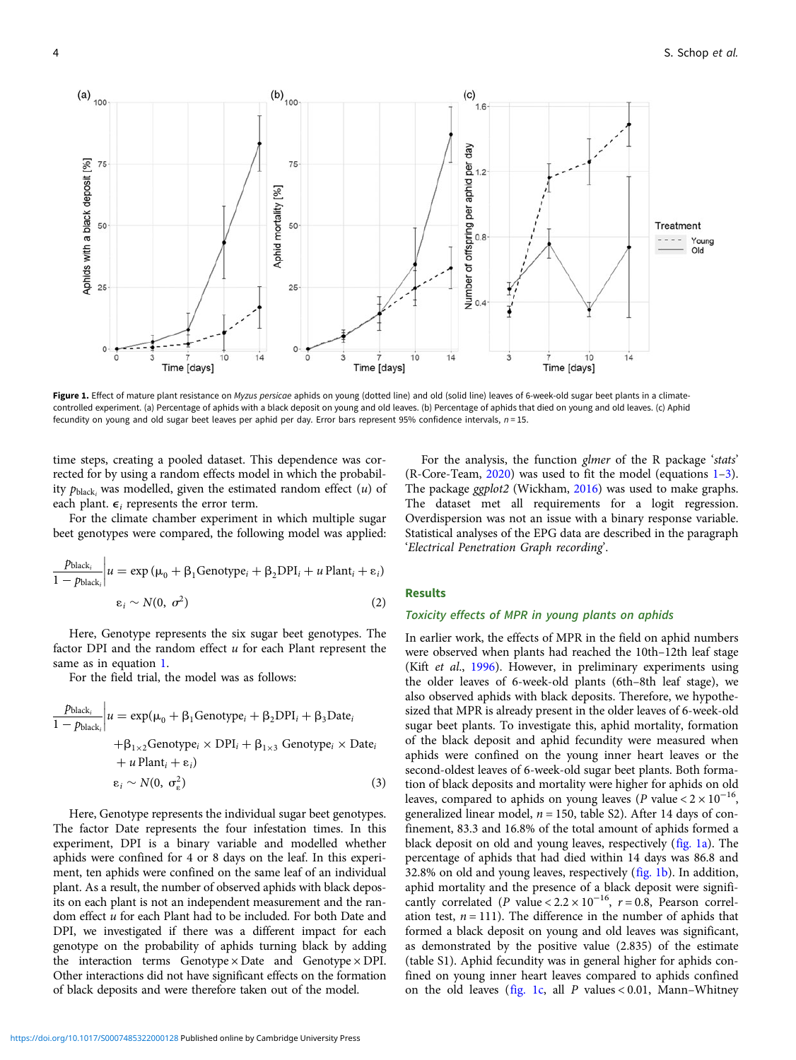<span id="page-3-0"></span>

Figure 1. Effect of mature plant resistance on Myzus persicae aphids on young (dotted line) and old (solid line) leaves of 6-week-old sugar beet plants in a climatecontrolled experiment. (a) Percentage of aphids with a black deposit on young and old leaves. (b) Percentage of aphids that died on young and old leaves. (c) Aphid fecundity on young and old sugar beet leaves per aphid per day. Error bars represent 95% confidence intervals,  $n = 15$ .

time steps, creating a pooled dataset. This dependence was corrected for by using a random effects model in which the probability  $p_{black_i}$  was modelled, given the estimated random effect  $(u)$  of each plant.  $\epsilon_i$  represents the error term.

For the climate chamber experiment in which multiple sugar beet genotypes were compared, the following model was applied:

$$
\frac{p_{\text{black}_i}}{1 - p_{\text{black}_i}} \Big| u = \exp \left( \mu_0 + \beta_1 \text{Genotype}_i + \beta_2 \text{DPI}_i + u \text{Plant}_i + \varepsilon_i \right)
$$
  

$$
\varepsilon_i \sim N(0, \sigma^2)
$$
 (2)

Here, Genotype represents the six sugar beet genotypes. The factor DPI and the random effect  $u$  for each Plant represent the same as in equation [1](#page-2-0).

For the field trial, the model was as follows:

$$
\frac{p_{black_i}}{1 - p_{black_i}} \Big| u = \exp(\mu_0 + \beta_1 \text{Genotype}_i + \beta_2 \text{DPI}_i + \beta_3 \text{Date}_i + \beta_{1 \times 2} \text{Genotype}_i \times \text{DPI}_i + \beta_{1 \times 3} \text{ Genotype}_i \times \text{Date}_i + u \text{Plant}_i + \varepsilon_i)
$$
  
 
$$
\varepsilon_i \sim N(0, \sigma_{\varepsilon}^2)
$$
 (3)

Here, Genotype represents the individual sugar beet genotypes. The factor Date represents the four infestation times. In this experiment, DPI is a binary variable and modelled whether aphids were confined for 4 or 8 days on the leaf. In this experiment, ten aphids were confined on the same leaf of an individual plant. As a result, the number of observed aphids with black deposits on each plant is not an independent measurement and the random effect u for each Plant had to be included. For both Date and DPI, we investigated if there was a different impact for each genotype on the probability of aphids turning black by adding the interaction terms Genotype × Date and Genotype × DPI. Other interactions did not have significant effects on the formation of black deposits and were therefore taken out of the model.

For the analysis, the function glmer of the R package 'stats' (R-Core-Team, [2020](#page-7-0)) was used to fit the model (equations [1](#page-2-0)–3). The package ggplot2 (Wickham, [2016\)](#page-7-0) was used to make graphs. The dataset met all requirements for a logit regression. Overdispersion was not an issue with a binary response variable. Statistical analyses of the EPG data are described in the paragraph 'Electrical Penetration Graph recording'.

# **Results**

# Toxicity effects of MPR in young plants on aphids

In earlier work, the effects of MPR in the field on aphid numbers were observed when plants had reached the 10th–12th leaf stage (Kift et al., [1996\)](#page-7-0). However, in preliminary experiments using the older leaves of 6-week-old plants (6th–8th leaf stage), we also observed aphids with black deposits. Therefore, we hypothesized that MPR is already present in the older leaves of 6-week-old sugar beet plants. To investigate this, aphid mortality, formation of the black deposit and aphid fecundity were measured when aphids were confined on the young inner heart leaves or the second-oldest leaves of 6-week-old sugar beet plants. Both formation of black deposits and mortality were higher for aphids on old leaves, compared to aphids on young leaves (P value <  $2 \times 10^{-16}$ , generalized linear model,  $n = 150$ , table S2). After 14 days of confinement, 83.3 and 16.8% of the total amount of aphids formed a black deposit on old and young leaves, respectively (fig. 1a). The percentage of aphids that had died within 14 days was 86.8 and 32.8% on old and young leaves, respectively (fig. 1b). In addition, aphid mortality and the presence of a black deposit were significantly correlated (P value <  $2.2 \times 10^{-16}$ ,  $r = 0.8$ , Pearson correlation test,  $n = 111$ ). The difference in the number of aphids that formed a black deposit on young and old leaves was significant, as demonstrated by the positive value (2.835) of the estimate (table S1). Aphid fecundity was in general higher for aphids confined on young inner heart leaves compared to aphids confined on the old leaves (fig. 1c, all  $P$  values < 0.01, Mann-Whitney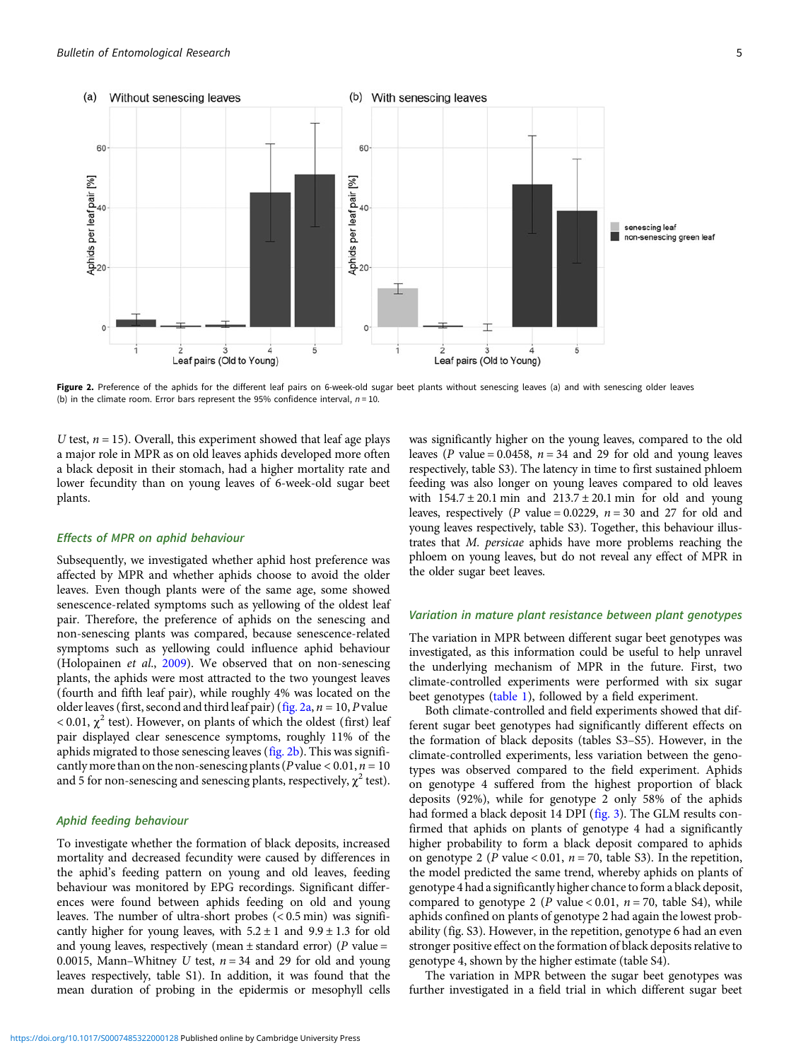<span id="page-4-0"></span>

Figure 2. Preference of the aphids for the different leaf pairs on 6-week-old sugar beet plants without senescing leaves (a) and with senescing older leaves (b) in the climate room. Error bars represent the 95% confidence interval,  $n = 10$ .

U test,  $n = 15$ ). Overall, this experiment showed that leaf age plays a major role in MPR as on old leaves aphids developed more often a black deposit in their stomach, had a higher mortality rate and lower fecundity than on young leaves of 6-week-old sugar beet plants.

#### Effects of MPR on aphid behaviour

Subsequently, we investigated whether aphid host preference was affected by MPR and whether aphids choose to avoid the older leaves. Even though plants were of the same age, some showed senescence-related symptoms such as yellowing of the oldest leaf pair. Therefore, the preference of aphids on the senescing and non-senescing plants was compared, because senescence-related symptoms such as yellowing could influence aphid behaviour (Holopainen et al., [2009\)](#page-7-0). We observed that on non-senescing plants, the aphids were most attracted to the two youngest leaves (fourth and fifth leaf pair), while roughly 4% was located on the older leaves (first, second and third leaf pair) (fig. 2a,  $n = 10$ , P value  $<$  0.01,  $\chi^2$  test). However, on plants of which the oldest (first) leaf pair displayed clear senescence symptoms, roughly 11% of the aphids migrated to those senescing leaves (fig. 2b). This was significantly more than on the non-senescing plants ( $P$  value < 0.01,  $n = 10$ and 5 for non-senescing and senescing plants, respectively,  $\chi^2$  test).

#### Aphid feeding behaviour

To investigate whether the formation of black deposits, increased mortality and decreased fecundity were caused by differences in the aphid's feeding pattern on young and old leaves, feeding behaviour was monitored by EPG recordings. Significant differences were found between aphids feeding on old and young leaves. The number of ultra-short probes (< 0.5 min) was significantly higher for young leaves, with  $5.2 \pm 1$  and  $9.9 \pm 1.3$  for old and young leaves, respectively (mean  $\pm$  standard error) (P value = 0.0015, Mann–Whitney U test,  $n = 34$  and 29 for old and young leaves respectively, table S1). In addition, it was found that the mean duration of probing in the epidermis or mesophyll cells was significantly higher on the young leaves, compared to the old leaves (P value = 0.0458,  $n = 34$  and 29 for old and young leaves respectively, table S3). The latency in time to first sustained phloem feeding was also longer on young leaves compared to old leaves with  $154.7 \pm 20.1$  min and  $213.7 \pm 20.1$  min for old and young leaves, respectively (P value = 0.0229,  $n = 30$  and 27 for old and young leaves respectively, table S3). Together, this behaviour illustrates that M. persicae aphids have more problems reaching the phloem on young leaves, but do not reveal any effect of MPR in the older sugar beet leaves.

#### Variation in mature plant resistance between plant genotypes

The variation in MPR between different sugar beet genotypes was investigated, as this information could be useful to help unravel the underlying mechanism of MPR in the future. First, two climate-controlled experiments were performed with six sugar beet genotypes [\(table 1](#page-2-0)), followed by a field experiment.

Both climate-controlled and field experiments showed that different sugar beet genotypes had significantly different effects on the formation of black deposits (tables S3–S5). However, in the climate-controlled experiments, less variation between the genotypes was observed compared to the field experiment. Aphids on genotype 4 suffered from the highest proportion of black deposits (92%), while for genotype 2 only 58% of the aphids had formed a black deposit 14 DPI [\(fig. 3\)](#page-5-0). The GLM results confirmed that aphids on plants of genotype 4 had a significantly higher probability to form a black deposit compared to aphids on genotype 2 (P value < 0.01,  $n = 70$ , table S3). In the repetition, the model predicted the same trend, whereby aphids on plants of genotype 4 had a significantly higher chance to form a black deposit, compared to genotype 2 ( $P$  value < 0.01,  $n = 70$ , table S4), while aphids confined on plants of genotype 2 had again the lowest probability (fig. S3). However, in the repetition, genotype 6 had an even stronger positive effect on the formation of black deposits relative to genotype 4, shown by the higher estimate (table S4).

The variation in MPR between the sugar beet genotypes was further investigated in a field trial in which different sugar beet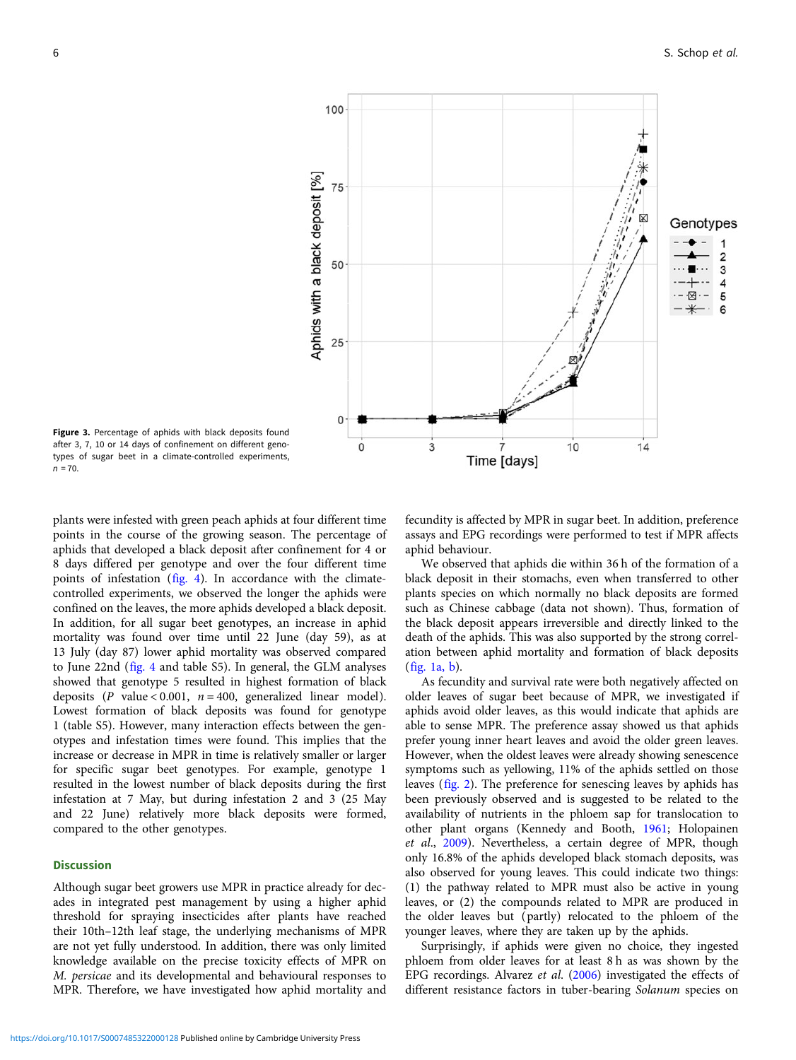<span id="page-5-0"></span>

Figure 3. Percentage of aphids with black deposits found after 3, 7, 10 or 14 days of confinement on different genotypes of sugar beet in a climate-controlled experiments,  $n = 70.$ 

plants were infested with green peach aphids at four different time points in the course of the growing season. The percentage of aphids that developed a black deposit after confinement for 4 or 8 days differed per genotype and over the four different time points of infestation [\(fig. 4\)](#page-6-0). In accordance with the climatecontrolled experiments, we observed the longer the aphids were confined on the leaves, the more aphids developed a black deposit. In addition, for all sugar beet genotypes, an increase in aphid mortality was found over time until 22 June (day 59), as at 13 July (day 87) lower aphid mortality was observed compared to June 22nd [\(fig. 4](#page-6-0) and table S5). In general, the GLM analyses showed that genotype 5 resulted in highest formation of black deposits (P value < 0.001,  $n = 400$ , generalized linear model). Lowest formation of black deposits was found for genotype 1 (table S5). However, many interaction effects between the genotypes and infestation times were found. This implies that the increase or decrease in MPR in time is relatively smaller or larger for specific sugar beet genotypes. For example, genotype 1 resulted in the lowest number of black deposits during the first infestation at 7 May, but during infestation 2 and 3 (25 May and 22 June) relatively more black deposits were formed, compared to the other genotypes.

# **Discussion**

Although sugar beet growers use MPR in practice already for decades in integrated pest management by using a higher aphid threshold for spraying insecticides after plants have reached their 10th–12th leaf stage, the underlying mechanisms of MPR are not yet fully understood. In addition, there was only limited knowledge available on the precise toxicity effects of MPR on M. persicae and its developmental and behavioural responses to MPR. Therefore, we have investigated how aphid mortality and

fecundity is affected by MPR in sugar beet. In addition, preference assays and EPG recordings were performed to test if MPR affects aphid behaviour.

We observed that aphids die within 36 h of the formation of a black deposit in their stomachs, even when transferred to other plants species on which normally no black deposits are formed such as Chinese cabbage (data not shown). Thus, formation of the black deposit appears irreversible and directly linked to the death of the aphids. This was also supported by the strong correlation between aphid mortality and formation of black deposits ([fig. 1a, b\)](#page-3-0).

As fecundity and survival rate were both negatively affected on older leaves of sugar beet because of MPR, we investigated if aphids avoid older leaves, as this would indicate that aphids are able to sense MPR. The preference assay showed us that aphids prefer young inner heart leaves and avoid the older green leaves. However, when the oldest leaves were already showing senescence symptoms such as yellowing, 11% of the aphids settled on those leaves ([fig. 2\)](#page-4-0). The preference for senescing leaves by aphids has been previously observed and is suggested to be related to the availability of nutrients in the phloem sap for translocation to other plant organs (Kennedy and Booth, [1961;](#page-7-0) Holopainen et al., [2009\)](#page-7-0). Nevertheless, a certain degree of MPR, though only 16.8% of the aphids developed black stomach deposits, was also observed for young leaves. This could indicate two things: (1) the pathway related to MPR must also be active in young leaves, or (2) the compounds related to MPR are produced in the older leaves but (partly) relocated to the phloem of the younger leaves, where they are taken up by the aphids.

Surprisingly, if aphids were given no choice, they ingested phloem from older leaves for at least 8 h as was shown by the EPG recordings. Alvarez et al. ([2006\)](#page-7-0) investigated the effects of different resistance factors in tuber-bearing Solanum species on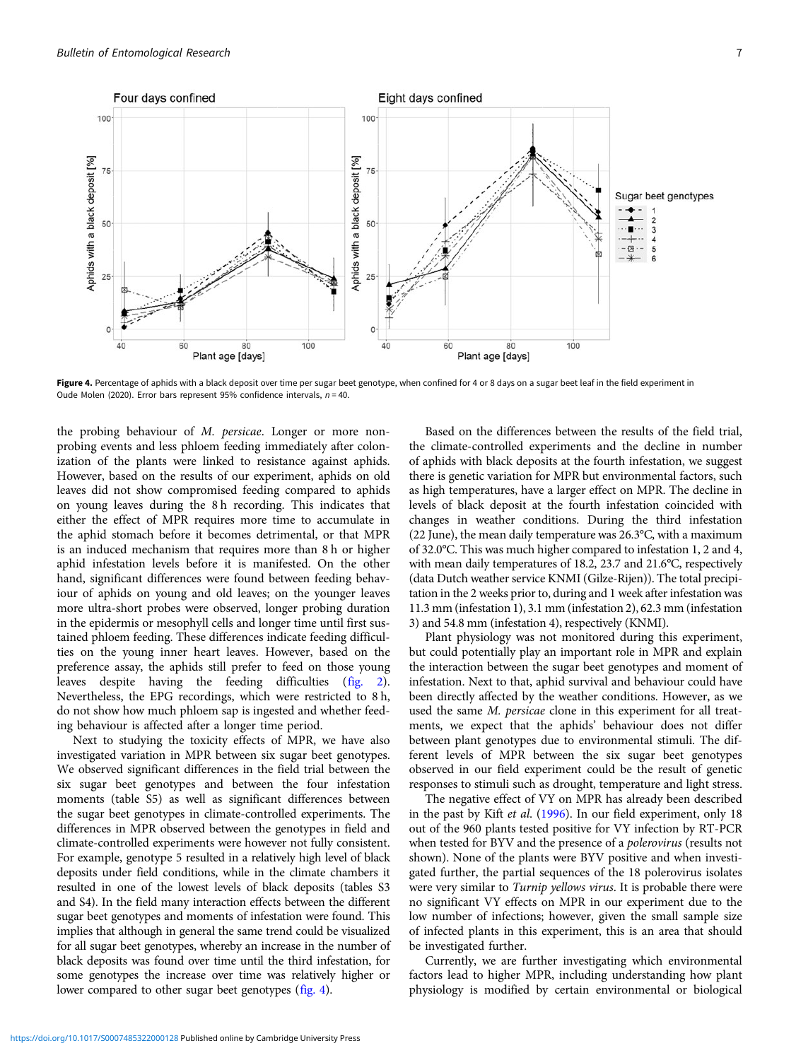<span id="page-6-0"></span>

Figure 4. Percentage of aphids with a black deposit over time per sugar beet genotype, when confined for 4 or 8 days on a sugar beet leaf in the field experiment in Oude Molen (2020). Error bars represent 95% confidence intervals,  $n = 40$ .

the probing behaviour of M. persicae. Longer or more nonprobing events and less phloem feeding immediately after colonization of the plants were linked to resistance against aphids. However, based on the results of our experiment, aphids on old leaves did not show compromised feeding compared to aphids on young leaves during the 8 h recording. This indicates that either the effect of MPR requires more time to accumulate in the aphid stomach before it becomes detrimental, or that MPR is an induced mechanism that requires more than 8 h or higher aphid infestation levels before it is manifested. On the other hand, significant differences were found between feeding behaviour of aphids on young and old leaves; on the younger leaves more ultra-short probes were observed, longer probing duration in the epidermis or mesophyll cells and longer time until first sustained phloem feeding. These differences indicate feeding difficulties on the young inner heart leaves. However, based on the preference assay, the aphids still prefer to feed on those young leaves despite having the feeding difficulties ([fig. 2\)](#page-4-0). Nevertheless, the EPG recordings, which were restricted to 8 h, do not show how much phloem sap is ingested and whether feeding behaviour is affected after a longer time period.

Next to studying the toxicity effects of MPR, we have also investigated variation in MPR between six sugar beet genotypes. We observed significant differences in the field trial between the six sugar beet genotypes and between the four infestation moments (table S5) as well as significant differences between the sugar beet genotypes in climate-controlled experiments. The differences in MPR observed between the genotypes in field and climate-controlled experiments were however not fully consistent. For example, genotype 5 resulted in a relatively high level of black deposits under field conditions, while in the climate chambers it resulted in one of the lowest levels of black deposits (tables S3 and S4). In the field many interaction effects between the different sugar beet genotypes and moments of infestation were found. This implies that although in general the same trend could be visualized for all sugar beet genotypes, whereby an increase in the number of black deposits was found over time until the third infestation, for some genotypes the increase over time was relatively higher or lower compared to other sugar beet genotypes (fig. 4).

Based on the differences between the results of the field trial, the climate-controlled experiments and the decline in number of aphids with black deposits at the fourth infestation, we suggest there is genetic variation for MPR but environmental factors, such as high temperatures, have a larger effect on MPR. The decline in levels of black deposit at the fourth infestation coincided with changes in weather conditions. During the third infestation (22 June), the mean daily temperature was 26.3°C, with a maximum of 32.0°C. This was much higher compared to infestation 1, 2 and 4, with mean daily temperatures of 18.2, 23.7 and 21.6°C, respectively (data Dutch weather service KNMI (Gilze-Rijen)). The total precipitation in the 2 weeks prior to, during and 1 week after infestation was 11.3 mm (infestation 1), 3.1 mm (infestation 2), 62.3 mm (infestation 3) and 54.8 mm (infestation 4), respectively (KNMI).

Plant physiology was not monitored during this experiment, but could potentially play an important role in MPR and explain the interaction between the sugar beet genotypes and moment of infestation. Next to that, aphid survival and behaviour could have been directly affected by the weather conditions. However, as we used the same M. persicae clone in this experiment for all treatments, we expect that the aphids' behaviour does not differ between plant genotypes due to environmental stimuli. The different levels of MPR between the six sugar beet genotypes observed in our field experiment could be the result of genetic responses to stimuli such as drought, temperature and light stress.

The negative effect of VY on MPR has already been described in the past by Kift et al. ([1996](#page-7-0)). In our field experiment, only 18 out of the 960 plants tested positive for VY infection by RT-PCR when tested for BYV and the presence of a polerovirus (results not shown). None of the plants were BYV positive and when investigated further, the partial sequences of the 18 polerovirus isolates were very similar to Turnip yellows virus. It is probable there were no significant VY effects on MPR in our experiment due to the low number of infections; however, given the small sample size of infected plants in this experiment, this is an area that should be investigated further.

Currently, we are further investigating which environmental factors lead to higher MPR, including understanding how plant physiology is modified by certain environmental or biological